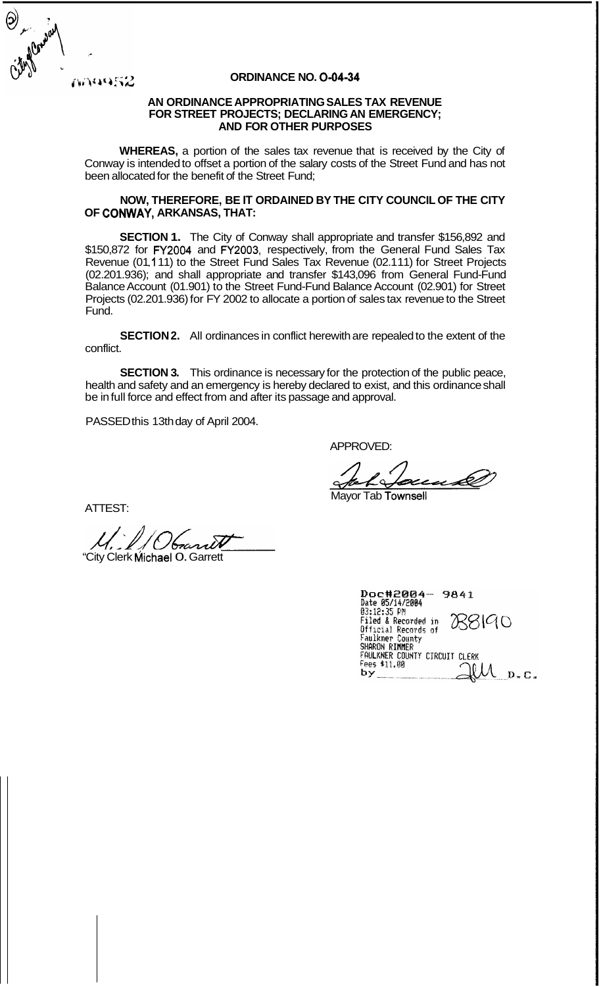ANU452

### **ORDINANCE NO. 0-04-34**

#### **AN ORDINANCE APPROPRIATING SALES TAX REVENUE FOR STREET PROJECTS; DECLARING AN EMERGENCY; AND FOR OTHER PURPOSES**

**WHEREAS,** a portion of the sales tax revenue that is received by the City of Conway is intended to offset a portion of the salary costs of the Street Fund and has not been allocated for the benefit of the Street Fund;

#### **NOW, THEREFORE, BE IT ORDAINED BY THE CITY COUNCIL OF THE CITY OF CONWAY, ARKANSAS, THAT:**

**SECTION 1.** The City of Conway shall appropriate and transfer \$156,892 and S150,872 for FY2004 and FY2003, respectively, from the General Fund Sales Tax<br>Revenue (01.111) to the Street Fund Sales Tax Revenue (02.111) for Street Projects (02.201.936); and shall appropriate and transfer \$143,096 from General Fund-Fund Balance Account (01.901) to the Street Fund-Fund Balance Account (02.901) for Street Projects (02.201.936) for FY 2002 to allocate a portion of sales tax revenue to the Street Fund.

**SECTION 2.** All ordinances in conflict herewith are repealed to the extent of the conflict.

**SECTION 3.** This ordinance is necessary for the protection of the public peace, health and safety and an emergency is hereby declared to exist, and this ordinance shall be in full force and effect from and after its passage and approval.

PASSED this 13th day of April 2004.

APPROVED:

eu A

Mayor Tab Townsell

ATTEST:

"City Clerk Michael O. Garrett

| Doc#2004-<br>9841                                |
|--------------------------------------------------|
| Date 05/14/2004                                  |
| 03:12:35 PM                                      |
| <b>ASSICIO</b><br><b>Filed &amp; Recorded in</b> |
| Official Records of                              |
| Faulkner County                                  |
| SHARON RIMMER                                    |
| FAULKNER COUNTY CIRCUIT CLERK                    |
| Fees \$11.00                                     |
| b v                                              |
|                                                  |